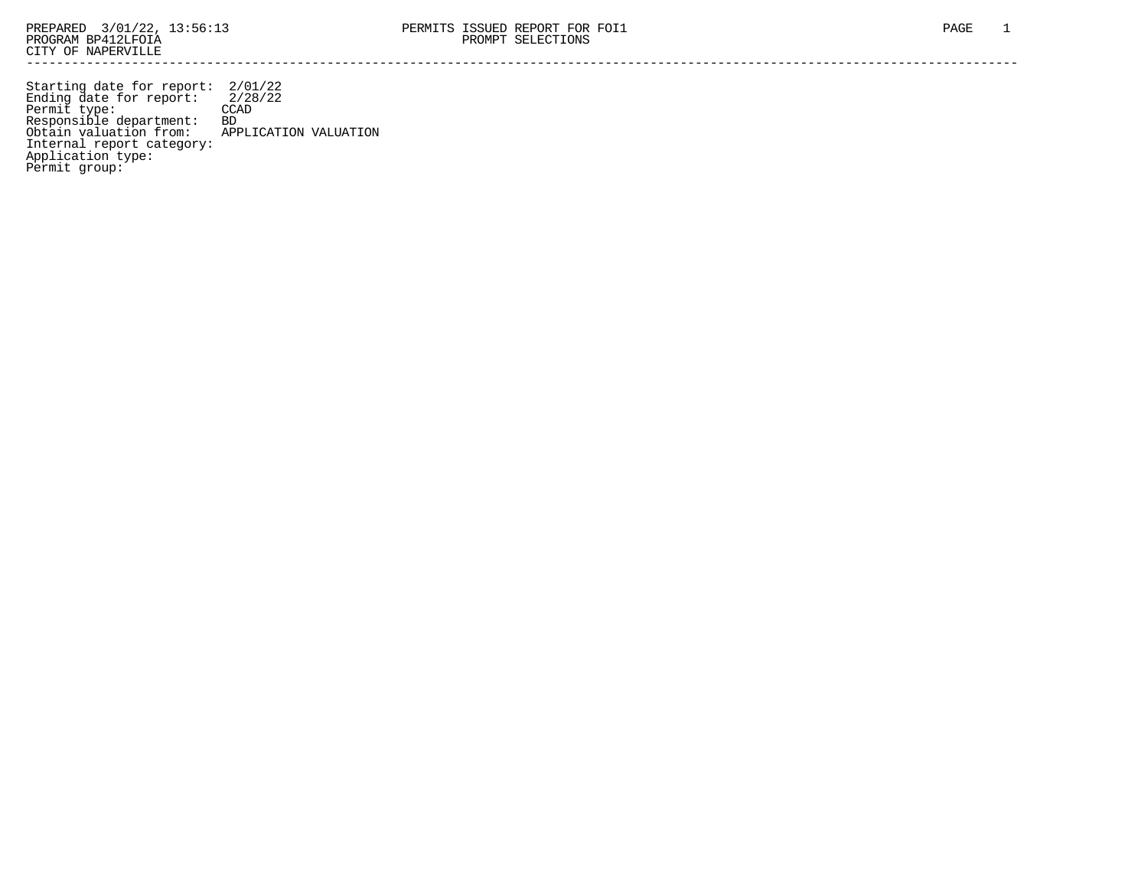Starting date for report: 2/01/22 Ending date for report: 2/28/22 Permit type: CCAD Responsible department: BD Obtain valuation from: APPLICATION VALUATION Internal report category: Application type: Permit group: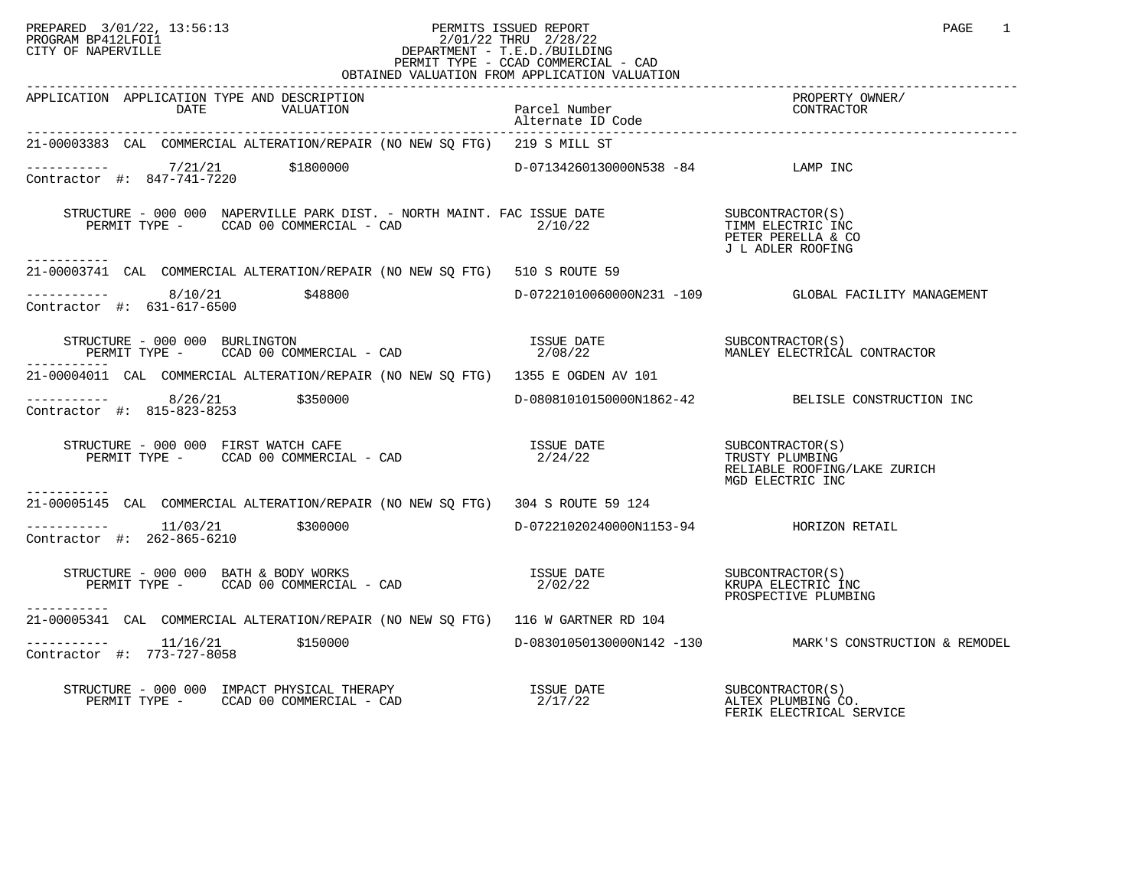## PREPARED 3/01/22, 13:56:13 PERMITS ISSUED REPORT PAGE 1<br>PROGRAM BP412LFOI1 PROGRAM PROGRAM BP412LFOI1 PROGRAM BP412LFOI1 2/01/22 THRU 2/28/22 CITY OF NAPERVILLE **Example 20** CITY OF NAPERVILLE CITY OF NAPERVILLE CITY OF NAPERVILLE SERECT TO SERECT TYPE - CCAD COMMERCIAL - CAD OBTAINED VALUATION FROM APPLICATION VALUATION

| APPLICATION APPLICATION TYPE AND DESCRIPTION<br>DATE<br>VALUATION                                                                                                                                                                                                                                                                                                                                                | Parcel Number<br>Alternate ID Code | PROPERTY OWNER/<br>CONTERACTOR                          |
|------------------------------------------------------------------------------------------------------------------------------------------------------------------------------------------------------------------------------------------------------------------------------------------------------------------------------------------------------------------------------------------------------------------|------------------------------------|---------------------------------------------------------|
| 21-00003383 CAL COMMERCIAL ALTERATION/REPAIR (NO NEW SO FTG) 219 S MILL ST                                                                                                                                                                                                                                                                                                                                       |                                    |                                                         |
| $-$ --------- $7/21/21$ \$1800000<br>Contractor #: 847-741-7220                                                                                                                                                                                                                                                                                                                                                  | D-07134260130000N538 -84 LAMP INC  |                                                         |
| STRUCTURE - 000 000 NAPERVILLE PARK DIST. - NORTH MAINT. FAC ISSUE DATE<br>PERMIT TYPE - CCAD 00 COMMERCIAL - CAD 2/10/22 TIMM ELECTRIC INC<br>-----------                                                                                                                                                                                                                                                       |                                    | PETER PERELLA & CO<br>J L ADLER ROOFING                 |
| 21-00003741 CAL COMMERCIAL ALTERATION/REPAIR (NO NEW SQ FTG) 510 S ROUTE 59                                                                                                                                                                                                                                                                                                                                      |                                    |                                                         |
| $--------$ 8/10/21 \$48800<br>Contractor #: 631-617-6500                                                                                                                                                                                                                                                                                                                                                         |                                    | D-07221010060000N231 -109 GLOBAL FACILITY MANAGEMENT    |
|                                                                                                                                                                                                                                                                                                                                                                                                                  |                                    |                                                         |
| 21-00004011 CAL COMMERCIAL ALTERATION/REPAIR (NO NEW SQ FTG) 1355 E OGDEN AV 101                                                                                                                                                                                                                                                                                                                                 |                                    |                                                         |
| $--------- 8/26/21$ \$350000<br>Contractor #: 815-823-8253                                                                                                                                                                                                                                                                                                                                                       |                                    | D-08081010150000N1862-42 BELISLE CONSTRUCTION INC       |
| $\begin{array}{ccccccccc} \texttt{STRUCTURE} & - & 000 & 000 & \texttt{FIRST} & \texttt{WATCH} & \texttt{CAFE} & & & & & & & & & \\ \texttt{PERMIT TYPE} & - & & & & & & & & & \\ \texttt{PERMIT TYPE} & - & & & & & & & & \\ \end{array}$                                                                                                                                                                       |                                    | RELIABLE ROOFING/LAKE ZURICH<br>MGD ELECTRIC INC        |
| . <u>.</u><br>21-00005145 CAL COMMERCIAL ALTERATION/REPAIR (NO NEW SO FTG) 304 S ROUTE 59 124                                                                                                                                                                                                                                                                                                                    |                                    |                                                         |
| $--------- 11/03/21$ \$300000<br>Contractor #: 262-865-6210                                                                                                                                                                                                                                                                                                                                                      |                                    |                                                         |
| $\begin{array}{ccccccccc} \texttt{STRUCTURE} & - & 000 & 000 & \texttt{BATH} & \& \texttt{BODY} & \texttt{WORKS} & & & & & & & & & \\ \texttt{PERMIT} & \texttt{TYPE} & - & & \texttt{CCAD} & 00 & \texttt{COMMERCIAL} & - & \texttt{CAD} & & & & & & & & \\ \end{array}$<br>------------                                                                                                                        |                                    | PROSPECTIVE PLUMBING                                    |
| 21-00005341 CAL COMMERCIAL ALTERATION/REPAIR (NO NEW SQ FTG) 116 W GARTNER RD 104                                                                                                                                                                                                                                                                                                                                |                                    |                                                         |
| Contractor #: 773-727-8058                                                                                                                                                                                                                                                                                                                                                                                       |                                    | D-08301050130000N142 -130 MARK'S CONSTRUCTION & REMODEL |
| $\begin{array}{cccccc} \texttt{STRUCTURE} & - & 000 & 000 & \texttt{IMPACT PHYSICAL THERAPY} & & & & & \\ \texttt{PERMIT TYPE} & - & \texttt{CCAD} & 00 & \texttt{COMMERCIAL} & - & \texttt{CAD} & & & & \\ \end{array} \qquad \begin{array}{cccccc} \texttt{ISSUE} & \texttt{DATE} & & & & & \\ \texttt{SUE} & \texttt{DATE} & & & & & \\ \texttt{2/17/22} & & & & & \texttt{ALTEX PLUMBING CC} \\ \end{array}$ |                                    | ALTEX PLUMBING CO.<br>FERIK ELECTRICAL SERVICE          |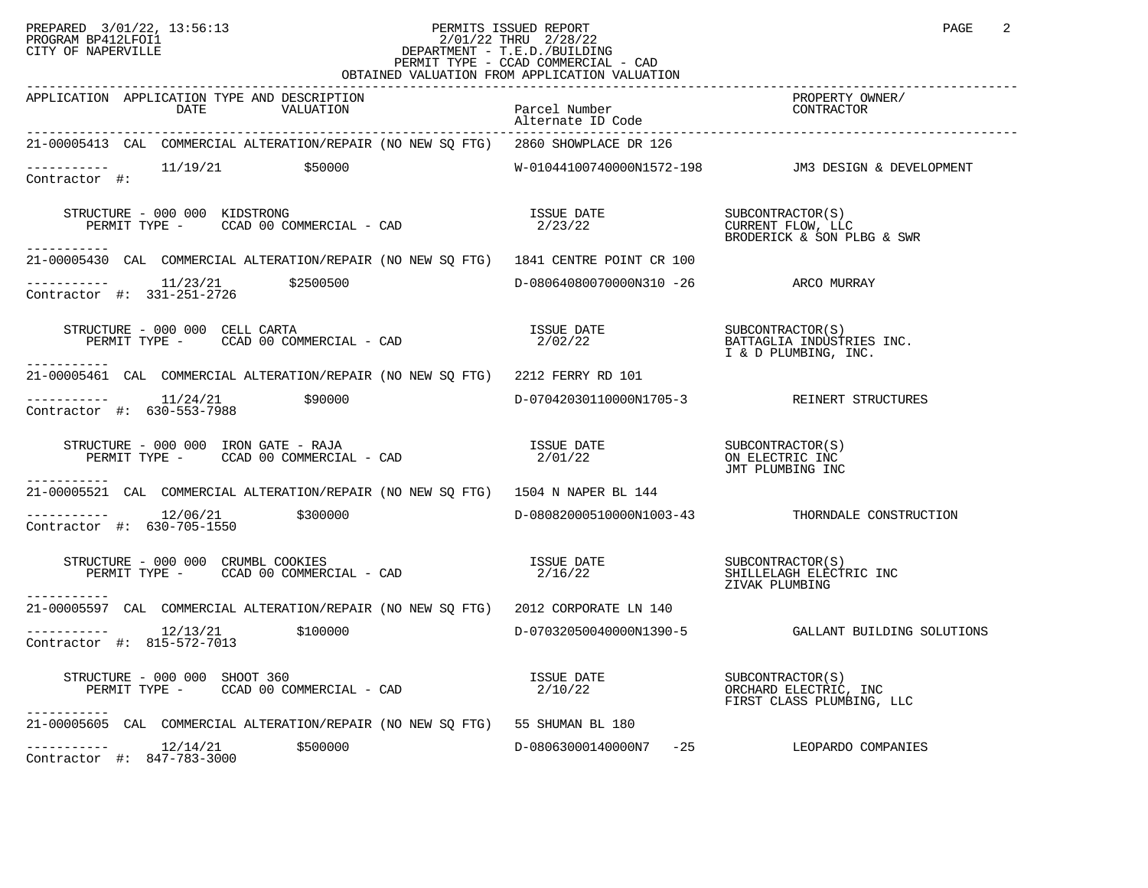## PREPARED 3/01/22, 13:56:13 PERMITS ISSUED REPORT PAGE 2 PROGRAM BP412LFOI1 2/01/22 THRU 2/28/22 CITY OF NAPERVILLE **Example 20** CITY OF NAPERVILLE PERMIT TYPE - CCAD COMMERCIAL - CAD OBTAINED VALUATION FROM APPLICATION VALUATION

| APPLICATION APPLICATION TYPE AND DESCRIPTION<br>DATE<br>VALUATION                                                                                                                                                                                                                                                                                           | Parcel Number<br>Alternate ID Code   | PROPERTY OWNER/<br>CONTRACTO                                           |
|-------------------------------------------------------------------------------------------------------------------------------------------------------------------------------------------------------------------------------------------------------------------------------------------------------------------------------------------------------------|--------------------------------------|------------------------------------------------------------------------|
| 21-00005413 CAL COMMERCIAL ALTERATION/REPAIR (NO NEW SQ FTG) 2860 SHOWPLACE DR 126                                                                                                                                                                                                                                                                          |                                      |                                                                        |
| $---------$ 11/19/21 $$50000$<br>Contractor #:                                                                                                                                                                                                                                                                                                              |                                      |                                                                        |
| TRUCTURE – 000 000 KIDSTRONG (S) (SUBCONTRACTOR) TRUCTURE – 000 000 KIDSTRONG – CAD (SUBCONTRACTOR) TYPE – CCAD<br>STRUCTURE - 000 000 KIDSTRONG<br>-----------                                                                                                                                                                                             |                                      | CURRENT FLOW, LLC<br>BRODERICK & SON PLBG & SWR                        |
| 21-00005430 CAL COMMERCIAL ALTERATION/REPAIR (NO NEW SQ FTG) 1841 CENTRE POINT CR 100                                                                                                                                                                                                                                                                       |                                      |                                                                        |
| $\frac{11}{23}$ $\frac{11}{23}$ $\frac{21}{250}$ $\frac{2500500}{27}$<br>Contractor #: 331-251-2726                                                                                                                                                                                                                                                         | D-08064080070000N310 -26 ARCO MURRAY |                                                                        |
| STRUCTURE - 000 000 CELL CARTA<br>PERMIT TYPE - CCAD 00 COMMERCIAL - CAD<br>-----------                                                                                                                                                                                                                                                                     | ISSUE DATE<br>2/02/22                | SUBCONTRACTOR(S)<br>BATTAGLIA INDUSTRIES INC.<br>I & D PLUMBING, INC.  |
| 21-00005461 CAL COMMERCIAL ALTERATION/REPAIR (NO NEW SO FTG) 2212 FERRY RD 101                                                                                                                                                                                                                                                                              |                                      |                                                                        |
| $---------$ 11/24/21 \$90000<br>Contractor #: 630-553-7988                                                                                                                                                                                                                                                                                                  |                                      | D-07042030110000N1705-3 REINERT STRUCTURES                             |
| $\begin{array}{cccccc} \texttt{STRUCTURE} & - & 000 & 000 & \texttt{IRON} & \texttt{GATE} & - & \texttt{RAJA} & \texttt{ISSUE} & \texttt{DATE} & & & & \texttt{SUBCONTRACTOR}(S) \\ \texttt{PERMIT TYPE} & - & \texttt{CCAD} & 00 & \texttt{COMMERCIAL} & - & \texttt{CAD} & & & & 2/01/22 & & & & \texttt{ON ELECTRIC INC} \\ \end{array}$<br>------------ |                                      | JMT PLUMBING INC                                                       |
| 21-00005521 CAL COMMERCIAL ALTERATION/REPAIR (NO NEW SQ FTG) 1504 N NAPER BL 144                                                                                                                                                                                                                                                                            |                                      |                                                                        |
| $---------$ 12/06/21 \$300000<br>Contractor #: 630-705-1550                                                                                                                                                                                                                                                                                                 |                                      | D-08082000510000N1003-43 THORNDALE CONSTRUCTION                        |
| STRUCTURE - 000 000 CRUMBL COOKIES<br>PERMIT TYPE - CCAD 00 COMMERCIAL - CAD<br>-----------                                                                                                                                                                                                                                                                 | ISSUE DATE<br>a 2116/00<br>2/16/22   | SHILLELAGH ELECTRIC INC<br>ZIVAK PLUMBING                              |
| 21-00005597 CAL COMMERCIAL ALTERATION/REPAIR (NO NEW SQ FTG) 2012 CORPORATE LN 140                                                                                                                                                                                                                                                                          |                                      |                                                                        |
| Contractor #: 815-572-7013                                                                                                                                                                                                                                                                                                                                  |                                      |                                                                        |
| STRUCTURE - 000 000 SHOOT 360<br>PERMIT TYPE - CCAD 00 COMMERCIAL - CAD<br>-----------                                                                                                                                                                                                                                                                      | ISSUE DATE<br>2/10/22                | SUBCONTRACTOR(S)<br>ORCHARD ELECTRIC, INC<br>FIRST CLASS PLUMBING, LLC |
| 21-00005605 CAL COMMERCIAL ALTERATION/REPAIR (NO NEW SQ FTG) 55 SHUMAN BL 180                                                                                                                                                                                                                                                                               |                                      |                                                                        |
| $\frac{12}{14/21}$ \$500000<br>Contractor #: 847.782.2000<br>Contractor #: 847-783-3000                                                                                                                                                                                                                                                                     |                                      | D-08063000140000N7 -25 LEOPARDO COMPANIES                              |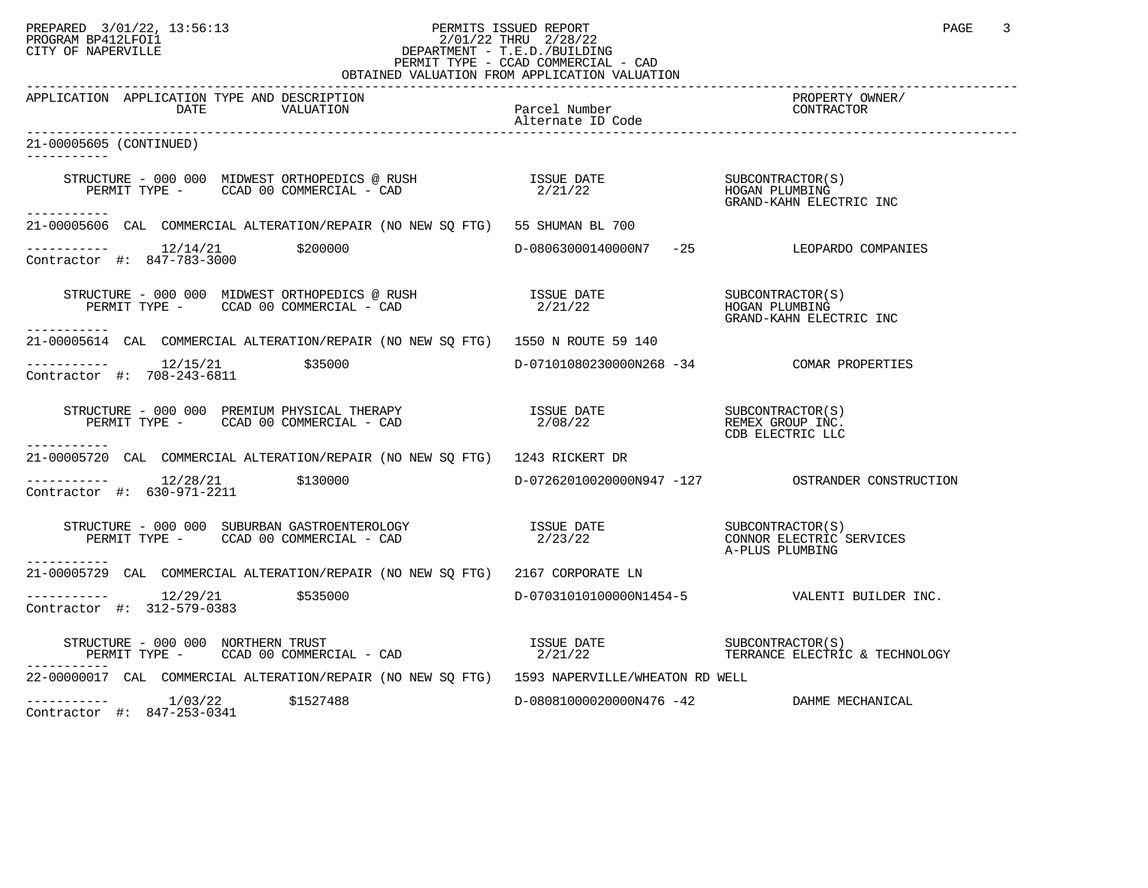## PREPARED 3/01/22, 13:56:13 PERMITS ISSUED REPORT PAGE 3 PROGRAM BP412LFOI1 2/01/22 THRU 2/28/22 CITY OF NAPERVILLE **Example 20** CITY OF NAPERVILLE PERMIT TYPE - CCAD COMMERCIAL - CAD OBTAINED VALUATION FROM APPLICATION VALUATION

| APPLICATION APPLICATION TYPE AND DESCRIPTION<br>DATE<br>VALUATION                                                                                                                                                                                                                                                                                                                                                   | Parcel Number<br>Alternate ID Code        | PROPERTY OWNER/<br>CONTRACTOR                                 |
|---------------------------------------------------------------------------------------------------------------------------------------------------------------------------------------------------------------------------------------------------------------------------------------------------------------------------------------------------------------------------------------------------------------------|-------------------------------------------|---------------------------------------------------------------|
| 21-00005605 (CONTINUED)<br>-----------                                                                                                                                                                                                                                                                                                                                                                              |                                           |                                                               |
| STRUCTURE – 000 000 MIDWEST ORTHOPEDICS @ RUSH<br>PERMIT TYPE – CCAD 00 COMMERCIAL – CAD 2/21/22 FERMIT TYPE – CCAD 00 COMMERCIAL – CAD<br>------------                                                                                                                                                                                                                                                             |                                           | GRAND-KAHN ELECTRIC INC                                       |
| 21-00005606 CAL COMMERCIAL ALTERATION/REPAIR (NO NEW SQ FTG) 55 SHUMAN BL 700                                                                                                                                                                                                                                                                                                                                       |                                           |                                                               |
| $\begin{tabular}{ll} \texttt{----------} & 12/14/21 & \texttt{\$200000} \\ \texttt{Contractor} & \texttt{#:} & 847-783-3000 \\ \end{tabular}$                                                                                                                                                                                                                                                                       |                                           | D-08063000140000N7 -25 LEOPARDO COMPANIES                     |
| -----------                                                                                                                                                                                                                                                                                                                                                                                                         |                                           | SUBCONTRACTOR(S)<br>HOGAN PLUMBING<br>GRAND-KAHN ELECTRIC INC |
| 21-00005614 CAL COMMERCIAL ALTERATION/REPAIR (NO NEW SO FTG) 1550 N ROUTE 59 140                                                                                                                                                                                                                                                                                                                                    |                                           |                                                               |
| $--------- 12/15/21$ \$35000<br>Contractor #: 708-243-6811                                                                                                                                                                                                                                                                                                                                                          | D-07101080230000N268 -34 COMAR PROPERTIES |                                                               |
|                                                                                                                                                                                                                                                                                                                                                                                                                     |                                           | CDB ELECTRIC LLC                                              |
| ----------<br>21-00005720 CAL COMMERCIAL ALTERATION/REPAIR (NO NEW SQ FTG) 1243 RICKERT DR                                                                                                                                                                                                                                                                                                                          |                                           |                                                               |
| $---------$ 12/28/21 \$130000<br>Contractor #: 630-971-2211                                                                                                                                                                                                                                                                                                                                                         |                                           |                                                               |
| $\begin{array}{cccccc} \texttt{STRUCTURE} & - & 000 & 000 & \texttt{SUBURBAN} & \texttt{GASTROENTEROLOGY} & & & & \\ \texttt{DFRMIT TYPE} & - & \texttt{CCAD} & 00 & \texttt{COMMERCIAL} & - & \texttt{CAD} & & & \\ \end{array} \qquad \begin{array}{c} \texttt{ISSUE} & \texttt{DATE} & \texttt{SUE} & \texttt{OMNOR} & \texttt{ELECTRIC} & \texttt{SERVICES} \\ & 2/23/22 & & & & \\ \end{array}$<br>----------- |                                           | A-PLUS PLUMBING                                               |
| 21-00005729 CAL COMMERCIAL ALTERATION/REPAIR (NO NEW SO FTG) 2167 CORPORATE LN                                                                                                                                                                                                                                                                                                                                      |                                           |                                                               |
| $--------- 12/29/21$ \$535000<br>Contractor #: 312-579-0383                                                                                                                                                                                                                                                                                                                                                         |                                           | D-07031010100000N1454-5 VALENTI BUILDER INC.                  |
| STRUCTURE - 000 000 NORTHERN TRUST                                                                                                                                                                                                                                                                                                                                                                                  |                                           |                                                               |
| 22-00000017 CAL COMMERCIAL ALTERATION/REPAIR (NO NEW SQ FTG) 1593 NAPERVILLE/WHEATON RD WELL                                                                                                                                                                                                                                                                                                                        |                                           |                                                               |
| $--------- 1/03/22$ \$1527488<br>Contractor #: 847-253-0341                                                                                                                                                                                                                                                                                                                                                         | D-08081000020000N476 -42 DAHME MECHANICAL |                                                               |